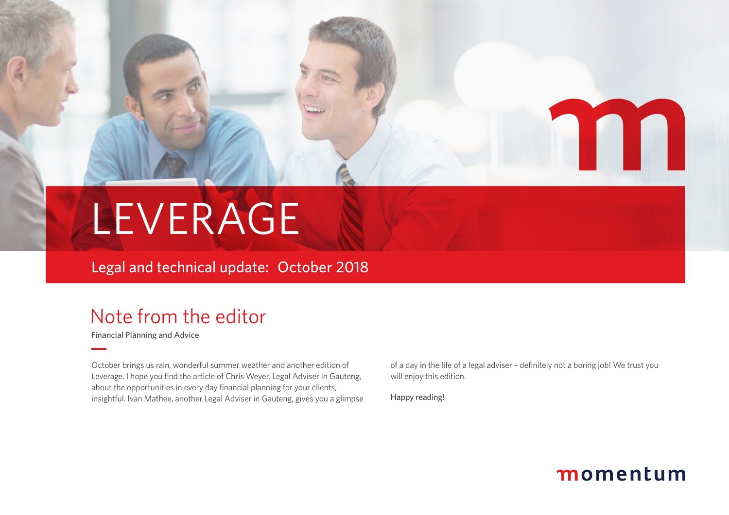

Legal and technical update: October 2018

# Note from the editor

Financial Planning and Advice

October brings us rain, wonderful summer weather and another edition of Leverage. I hope you find the article of Chris Weyer, Legal Adviser in Gauteng, about the opportunities in every day financial planning for your clients, insightful. Ivan Mathee, another Legal Adviser in Gauteng, gives you a glimpse of a day in the life of a legal adviser – definitely not a boring job! We trust you will enjoy this edition.

Happy reading!



M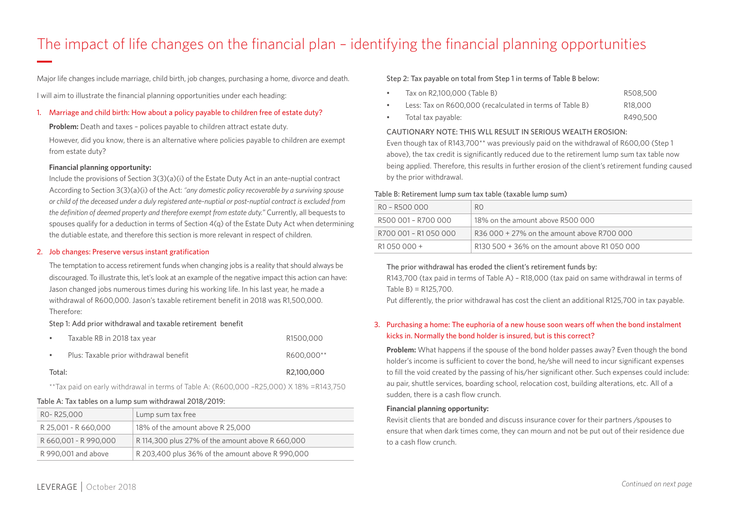# The impact of life changes on the financial plan – identifying the financial planning opportunities

Major life changes include marriage, child birth, job changes, purchasing a home, divorce and death.

I will aim to illustrate the financial planning opportunities under each heading:

# 1. Marriage and child birth: How about a policy payable to children free of estate duty?

**Problem:** Death and taxes – polices payable to children attract estate duty.

However, did you know, there is an alternative where policies payable to children are exempt from estate duty?

## **Financial planning opportunity:**

Include the provisions of Section 3(3)(a)(i) of the Estate Duty Act in an ante-nuptial contract According to Section 3(3)(a)(i) of the Act: *"any domestic policy recoverable by a surviving spouse or child of the deceased under a duly registered ante-nuptial or post-nuptial contract is excluded from the definition of deemed property and therefore exempt from estate duty."* Currently, all bequests to spouses qualify for a deduction in terms of Section 4(q) of the Estate Duty Act when determining the dutiable estate, and therefore this section is more relevant in respect of children.

## 2. Job changes: Preserve versus instant gratification

The temptation to access retirement funds when changing jobs is a reality that should always be discouraged. To illustrate this, let's look at an example of the negative impact this action can have: Jason changed jobs numerous times during his working life. In his last year, he made a withdrawal of R600,000. Jason's taxable retirement benefit in 2018 was R1,500,000. Therefore:

## Step 1: Add prior withdrawal and taxable retirement benefit

|        | Taxable RB in 2018 tax year            | R1500,000  |
|--------|----------------------------------------|------------|
|        | Plus: Taxable prior withdrawal benefit | R600,000** |
| Total: |                                        | R2.100.000 |

\*\*Tax paid on early withdrawal in terms of Table A: (R600,000 –R25,000) X 18% =R143,750

# Table A: Tax tables on a lump sum withdrawal 2018/2019:

| RO-R25,000            | Lump sum tax free                                |
|-----------------------|--------------------------------------------------|
| R 25,001 - R 660,000  | 18% of the amount above R 25,000                 |
| R 660,001 - R 990,000 | R 114,300 plus 27% of the amount above R 660,000 |
| R 990,001 and above   | R 203,400 plus 36% of the amount above R 990,000 |

# Step 2: Tax payable on total from Step 1 in terms of Table B below:

| Tax on R2.100.000 (Table B)                              | R508,500             |
|----------------------------------------------------------|----------------------|
| Less: Tax on R600,000 (recalculated in terms of Table B) | R <sub>18</sub> ,000 |
| Total tax pavable:                                       | R490,500             |

## CAUTIONARY NOTE: THIS WLL RESULT IN SERIOUS WEALTH EROSION:

Even though tax of R143,700\*\* was previously paid on the withdrawal of R600,00 (Step 1 above), the tax credit is significantly reduced due to the retirement lump sum tax table now being applied. Therefore, this results in further erosion of the client's retirement funding caused by the prior withdrawal.

# Table B: Retirement lump sum tax table (taxable lump sum)

| RO – R500 000         | R0                                            |
|-----------------------|-----------------------------------------------|
| R500 001 – R700 000   | 18% on the amount above R500 000              |
| R700 001 - R1 050 000 | $R36000 + 27%$ on the amount above R700000    |
| R1 050 000 +          | R130 500 + 36% on the amount above R1 050 000 |

# The prior withdrawal has eroded the client's retirement funds by:

R143,700 (tax paid in terms of Table A) – R18,000 (tax paid on same withdrawal in terms of Table B) = R125,700.

Put differently, the prior withdrawal has cost the client an additional R125,700 in tax payable.

# 3. Purchasing a home: The euphoria of a new house soon wears off when the bond instalment kicks in. Normally the bond holder is insured, but is this correct?

**Problem:** What happens if the spouse of the bond holder passes away? Even though the bond holder's income is sufficient to cover the bond, he/she will need to incur significant expenses to fill the void created by the passing of his/her significant other. Such expenses could include: au pair, shuttle services, boarding school, relocation cost, building alterations, etc. All of a sudden, there is a cash flow crunch.

## **Financial planning opportunity:**

Revisit clients that are bonded and discuss insurance cover for their partners /spouses to ensure that when dark times come, they can mourn and not be put out of their residence due to a cash flow crunch.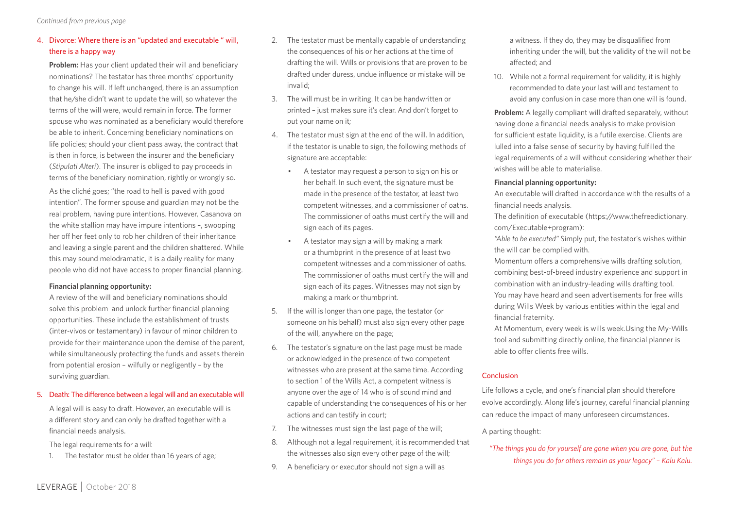# 4. Divorce: Where there is an "updated and executable " will, there is a happy way

**Problem:** Has your client updated their will and beneficiary nominations? The testator has three months' opportunity to change his will. If left unchanged, there is an assumption that he/she didn't want to update the will, so whatever the terms of the will were, would remain in force. The former spouse who was nominated as a beneficiary would therefore be able to inherit. Concerning beneficiary nominations on life policies; should your client pass away, the contract that is then in force, is between the insurer and the beneficiary (*Stipulati Alteri*). The insurer is obliged to pay proceeds in terms of the beneficiary nomination, rightly or wrongly so.

As the cliché goes; "the road to hell is paved with good intention". The former spouse and guardian may not be the real problem, having pure intentions. However, Casanova on the white stallion may have impure intentions –, swooping her off her feet only to rob her children of their inheritance and leaving a single parent and the children shattered. While this may sound melodramatic, it is a daily reality for many people who did not have access to proper financial planning.

# **Financial planning opportunity:**

A review of the will and beneficiary nominations should solve this problem and unlock further financial planning opportunities. These include the establishment of trusts (inter-vivos or testamentary) in favour of minor children to provide for their maintenance upon the demise of the parent, while simultaneously protecting the funds and assets therein from potential erosion – wilfully or negligently – by the surviving guardian.

# 5. Death: The difference between a legal will and an executable will

A legal will is easy to draft. However, an executable will is a different story and can only be drafted together with a financial needs analysis.

The legal requirements for a will:

1. The testator must be older than 16 years of age;

- 2. The testator must be mentally capable of understanding the consequences of his or her actions at the time of drafting the will. Wills or provisions that are proven to be drafted under duress, undue influence or mistake will be invalid;
- 3. The will must be in writing. It can be handwritten or printed – just makes sure it's clear. And don't forget to put your name on it;
- 4. The testator must sign at the end of the will. In addition, if the testator is unable to sign, the following methods of signature are acceptable:
	- A testator may request a person to sign on his or her behalf. In such event, the signature must be made in the presence of the testator, at least two competent witnesses, and a commissioner of oaths. The commissioner of oaths must certify the will and sign each of its pages.
	- A testator may sign a will by making a mark or a thumbprint in the presence of at least two competent witnesses and a commissioner of oaths. The commissioner of oaths must certify the will and sign each of its pages. Witnesses may not sign by making a mark or thumbprint.
- 5. If the will is longer than one page, the testator (or someone on his behalf) must also sign every other page of the will, anywhere on the page;
- 6. The testator's signature on the last page must be made or acknowledged in the presence of two competent witnesses who are present at the same time. According to section 1 of the Wills Act, a competent witness is anyone over the age of 14 who is of sound mind and capable of understanding the consequences of his or her actions and can testify in court;
- 7. The witnesses must sign the last page of the will;
- 8. Although not a legal requirement, it is recommended that the witnesses also sign every other page of the will;
- 9. A beneficiary or executor should not sign a will as

a witness. If they do, they may be disqualified from inheriting under the will, but the validity of the will not be affected; and

10. While not a formal requirement for validity, it is highly recommended to date your last will and testament to avoid any confusion in case more than one will is found.

**Problem:** A legally compliant will drafted separately, without having done a financial needs analysis to make provision for sufficient estate liquidity, is a futile exercise. Clients are lulled into a false sense of security by having fulfilled the legal requirements of a will without considering whether their wishes will be able to materialise.

# **Financial planning opportunity:**

An executable will drafted in accordance with the results of a financial needs analysis.

The definition of executable (https://www.thefreedictionary. com/Executable+program):

*"Able to be executed"* Simply put, the testator's wishes within the will can be complied with.

Momentum offers a comprehensive wills drafting solution, combining best-of-breed industry experience and support in combination with an industry-leading wills drafting tool. You may have heard and seen advertisements for free wills during Wills Week by various entities within the legal and financial fraternity.

At Momentum, every week is wills week.Using the My-Wills tool and submitting directly online, the financial planner is able to offer clients free wills.

# Conclusion

Life follows a cycle, and one's financial plan should therefore evolve accordingly. Along life's journey, careful financial planning can reduce the impact of many unforeseen circumstances.

# A parting thought:

*"The things you do for yourself are gone when you are gone, but the things you do for others remain as your legacy" – Kalu Kalu.*